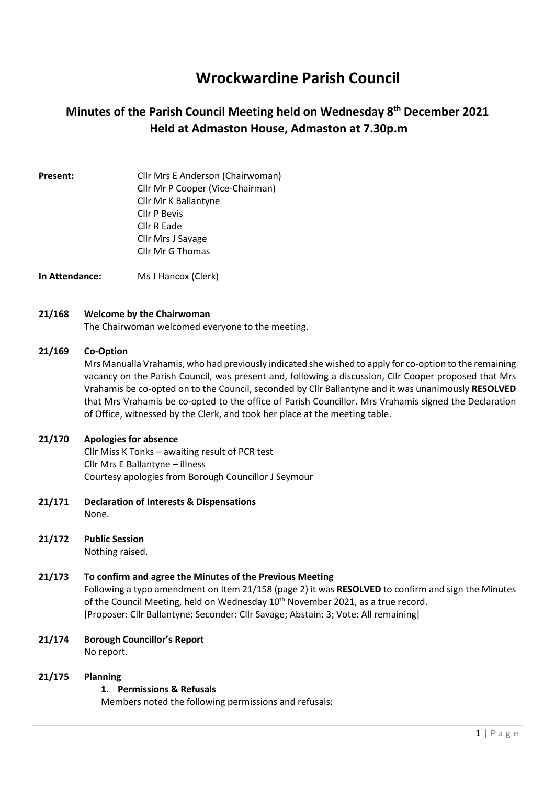# Wrockwardine Parish Council

## Minutes of the Parish Council Meeting held on Wednesday 8th December 2021 Held at Admaston House, Admaston at 7.30p.m

Present: Cllr Mrs E Anderson (Chairwoman) Cllr Mr P Cooper (Vice-Chairman) Cllr Mr K Ballantyne Cllr P Bevis Cllr R Eade Cllr Mrs J Savage Cllr Mr G Thomas

In Attendance: Ms J Hancox (Clerk)

#### 21/168 Welcome by the Chairwoman

The Chairwoman welcomed everyone to the meeting.

#### 21/169 Co-Option

Mrs Manualla Vrahamis, who had previously indicated she wished to apply for co-option to the remaining vacancy on the Parish Council, was present and, following a discussion, Cllr Cooper proposed that Mrs Vrahamis be co-opted on to the Council, seconded by Cllr Ballantyne and it was unanimously RESOLVED that Mrs Vrahamis be co-opted to the office of Parish Councillor. Mrs Vrahamis signed the Declaration of Office, witnessed by the Clerk, and took her place at the meeting table.

#### 21/170 Apologies for absence

Cllr Miss K Tonks – awaiting result of PCR test Cllr Mrs E Ballantyne – illness Courtesy apologies from Borough Councillor J Seymour

- 21/171 Declaration of Interests & Dispensations None.
- 21/172 Public Session Nothing raised.

## 21/173 To confirm and agree the Minutes of the Previous Meeting Following a typo amendment on Item 21/158 (page 2) it was RESOLVED to confirm and sign the Minutes of the Council Meeting, held on Wednesday 10<sup>th</sup> November 2021, as a true record. [Proposer: Cllr Ballantyne; Seconder: Cllr Savage; Abstain: 3; Vote: All remaining]

21/174 Borough Councillor's Report No report.

### 21/175 Planning

## 1. Permissions & Refusals

Members noted the following permissions and refusals: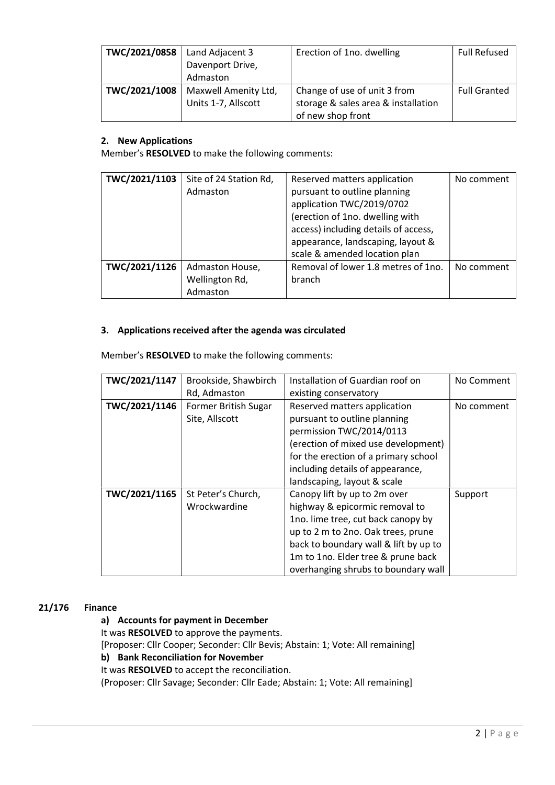| TWC/2021/0858 | Land Adjacent 3<br>Davenport Drive,<br>Admaston | Erection of 1no. dwelling                                                                | <b>Full Refused</b> |
|---------------|-------------------------------------------------|------------------------------------------------------------------------------------------|---------------------|
| TWC/2021/1008 | Maxwell Amenity Ltd,<br>Units 1-7, Allscott     | Change of use of unit 3 from<br>storage & sales area & installation<br>of new shop front | <b>Full Granted</b> |

### 2. New Applications

Member's RESOLVED to make the following comments:

| TWC/2021/1103 | Site of 24 Station Rd, | Reserved matters application         | No comment |
|---------------|------------------------|--------------------------------------|------------|
|               | Admaston               | pursuant to outline planning         |            |
|               |                        | application TWC/2019/0702            |            |
|               |                        | (erection of 1no. dwelling with      |            |
|               |                        | access) including details of access, |            |
|               |                        | appearance, landscaping, layout &    |            |
|               |                        | scale & amended location plan        |            |
| TWC/2021/1126 | Admaston House,        | Removal of lower 1.8 metres of 1no.  | No comment |
|               | Wellington Rd,         | branch                               |            |
|               | Admaston               |                                      |            |

#### 3. Applications received after the agenda was circulated

Member's RESOLVED to make the following comments:

| TWC/2021/1147 | Brookside, Shawbirch | Installation of Guardian roof on      | No Comment |
|---------------|----------------------|---------------------------------------|------------|
|               | Rd, Admaston         | existing conservatory                 |            |
|               |                      |                                       |            |
| TWC/2021/1146 | Former British Sugar | Reserved matters application          | No comment |
|               | Site, Allscott       | pursuant to outline planning          |            |
|               |                      | permission TWC/2014/0113              |            |
|               |                      | (erection of mixed use development)   |            |
|               |                      | for the erection of a primary school  |            |
|               |                      | including details of appearance,      |            |
|               |                      | landscaping, layout & scale           |            |
| TWC/2021/1165 | St Peter's Church,   | Canopy lift by up to 2m over          | Support    |
|               | Wrockwardine         | highway & epicormic removal to        |            |
|               |                      | 1no. lime tree, cut back canopy by    |            |
|               |                      | up to 2 m to 2no. Oak trees, prune    |            |
|               |                      | back to boundary wall & lift by up to |            |
|               |                      | 1m to 1no. Elder tree & prune back    |            |
|               |                      | overhanging shrubs to boundary wall   |            |

#### 21/176 Finance

#### a) Accounts for payment in December

It was RESOLVED to approve the payments.

[Proposer: Cllr Cooper; Seconder: Cllr Bevis; Abstain: 1; Vote: All remaining]

#### b) Bank Reconciliation for November

It was RESOLVED to accept the reconciliation.

(Proposer: Cllr Savage; Seconder: Cllr Eade; Abstain: 1; Vote: All remaining]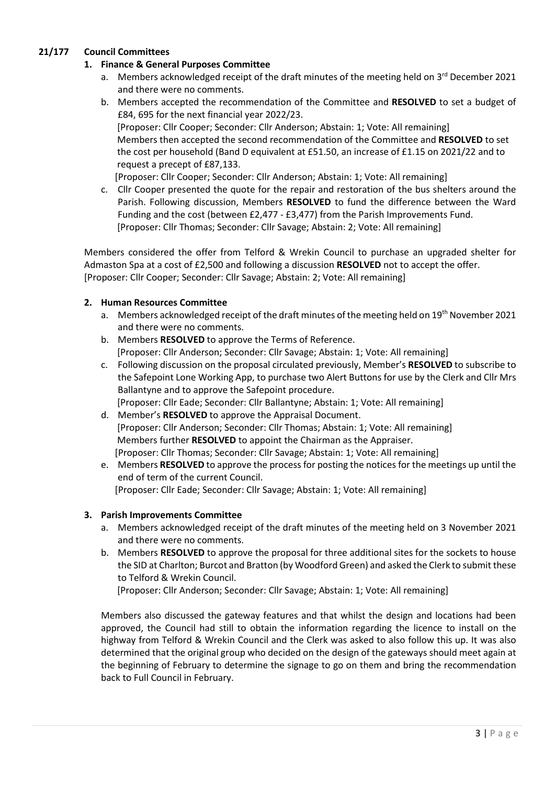## 21/177 Council Committees

## 1. Finance & General Purposes Committee

- a. Members acknowledged receipt of the draft minutes of the meeting held on  $3^{rd}$  December 2021 and there were no comments.
- b. Members accepted the recommendation of the Committee and RESOLVED to set a budget of £84, 695 for the next financial year 2022/23. [Proposer: Cllr Cooper; Seconder: Cllr Anderson; Abstain: 1; Vote: All remaining] Members then accepted the second recommendation of the Committee and RESOLVED to set the cost per household (Band D equivalent at £51.50, an increase of £1.15 on 2021/22 and to request a precept of £87,133.

[Proposer: Cllr Cooper; Seconder: Cllr Anderson; Abstain: 1; Vote: All remaining]

c. Cllr Cooper presented the quote for the repair and restoration of the bus shelters around the Parish. Following discussion, Members RESOLVED to fund the difference between the Ward Funding and the cost (between £2,477 - £3,477) from the Parish Improvements Fund. [Proposer: Cllr Thomas; Seconder: Cllr Savage; Abstain: 2; Vote: All remaining]

Members considered the offer from Telford & Wrekin Council to purchase an upgraded shelter for Admaston Spa at a cost of £2,500 and following a discussion RESOLVED not to accept the offer. [Proposer: Cllr Cooper; Seconder: Cllr Savage; Abstain: 2; Vote: All remaining]

### 2. Human Resources Committee

- a. Members acknowledged receipt of the draft minutes of the meeting held on 19th November 2021 and there were no comments.
- b. Members RESOLVED to approve the Terms of Reference. [Proposer: Cllr Anderson; Seconder: Cllr Savage; Abstain: 1; Vote: All remaining]
- c. Following discussion on the proposal circulated previously, Member's RESOLVED to subscribe to the Safepoint Lone Working App, to purchase two Alert Buttons for use by the Clerk and Cllr Mrs Ballantyne and to approve the Safepoint procedure. [Proposer: Cllr Eade; Seconder: Cllr Ballantyne; Abstain: 1; Vote: All remaining]
- d. Member's RESOLVED to approve the Appraisal Document. [Proposer: Cllr Anderson; Seconder: Cllr Thomas; Abstain: 1; Vote: All remaining] Members further RESOLVED to appoint the Chairman as the Appraiser. [Proposer: Cllr Thomas; Seconder: Cllr Savage; Abstain: 1; Vote: All remaining]
- e. Members RESOLVED to approve the process for posting the notices for the meetings up until the end of term of the current Council. [Proposer: Cllr Eade; Seconder: Cllr Savage; Abstain: 1; Vote: All remaining]

### 3. Parish Improvements Committee

- a. Members acknowledged receipt of the draft minutes of the meeting held on 3 November 2021 and there were no comments.
- b. Members RESOLVED to approve the proposal for three additional sites for the sockets to house the SID at Charlton; Burcot and Bratton (by Woodford Green) and asked the Clerk to submit these to Telford & Wrekin Council.

[Proposer: Cllr Anderson; Seconder: Cllr Savage; Abstain: 1; Vote: All remaining]

Members also discussed the gateway features and that whilst the design and locations had been approved, the Council had still to obtain the information regarding the licence to install on the highway from Telford & Wrekin Council and the Clerk was asked to also follow this up. It was also determined that the original group who decided on the design of the gateways should meet again at the beginning of February to determine the signage to go on them and bring the recommendation back to Full Council in February.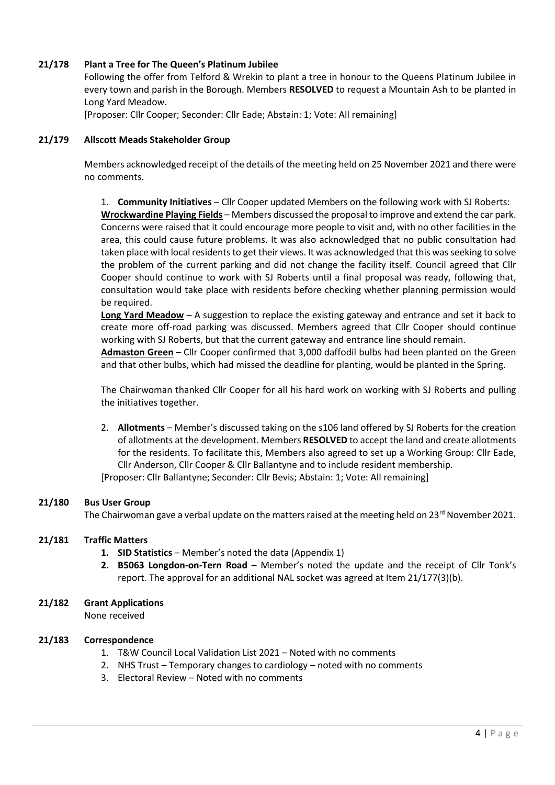### 21/178 Plant a Tree for The Queen's Platinum Jubilee

Following the offer from Telford & Wrekin to plant a tree in honour to the Queens Platinum Jubilee in every town and parish in the Borough. Members RESOLVED to request a Mountain Ash to be planted in Long Yard Meadow.

[Proposer: Cllr Cooper; Seconder: Cllr Eade; Abstain: 1; Vote: All remaining]

#### 21/179 Allscott Meads Stakeholder Group

Members acknowledged receipt of the details of the meeting held on 25 November 2021 and there were no comments.

1. Community Initiatives – Cllr Cooper updated Members on the following work with SJ Roberts: Wrockwardine Playing Fields - Members discussed the proposal to improve and extend the car park. Concerns were raised that it could encourage more people to visit and, with no other facilities in the area, this could cause future problems. It was also acknowledged that no public consultation had taken place with local residents to get their views. It was acknowledged that this was seeking to solve the problem of the current parking and did not change the facility itself. Council agreed that Cllr Cooper should continue to work with SJ Roberts until a final proposal was ready, following that, consultation would take place with residents before checking whether planning permission would be required.

Long Yard Meadow  $- A$  suggestion to replace the existing gateway and entrance and set it back to create more off-road parking was discussed. Members agreed that Cllr Cooper should continue working with SJ Roberts, but that the current gateway and entrance line should remain.

Admaston Green – Cllr Cooper confirmed that 3,000 daffodil bulbs had been planted on the Green and that other bulbs, which had missed the deadline for planting, would be planted in the Spring.

The Chairwoman thanked Cllr Cooper for all his hard work on working with SJ Roberts and pulling the initiatives together.

2. Allotments – Member's discussed taking on the s106 land offered by SJ Roberts for the creation of allotments at the development. Members RESOLVED to accept the land and create allotments for the residents. To facilitate this, Members also agreed to set up a Working Group: Cllr Eade, Cllr Anderson, Cllr Cooper & Cllr Ballantyne and to include resident membership.

[Proposer: Cllr Ballantyne; Seconder: Cllr Bevis; Abstain: 1; Vote: All remaining]

#### 21/180 Bus User Group

The Chairwoman gave a verbal update on the matters raised at the meeting held on 23<sup>rd</sup> November 2021.

#### 21/181 Traffic Matters

- 1. SID Statistics Member's noted the data (Appendix 1)
- 2. B5063 Longdon-on-Tern Road Member's noted the update and the receipt of Cllr Tonk's report. The approval for an additional NAL socket was agreed at Item 21/177(3)(b).

#### 21/182 Grant Applications

None received

#### 21/183 Correspondence

- 1. T&W Council Local Validation List 2021 Noted with no comments
- 2. NHS Trust Temporary changes to cardiology noted with no comments
- 3. Electoral Review Noted with no comments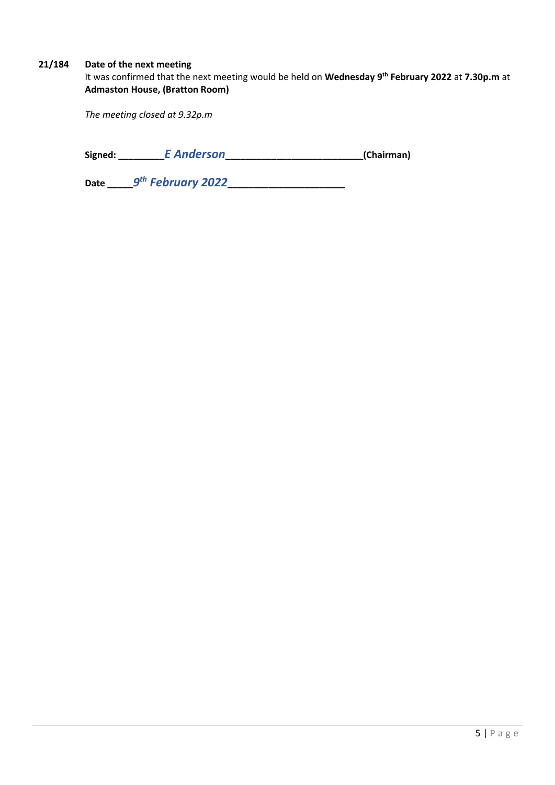## 21/184 Date of the next meeting

It was confirmed that the next meeting would be held on Wednesday 9<sup>th</sup> February 2022 at 7.30p.m at Admaston House, (Bratton Room)

The meeting closed at 9.32p.m

| Signed: | <b>E</b> Anderson | (Chairman) |
|---------|-------------------|------------|
|---------|-------------------|------------|

Date \_\_\_\_\_\_9<sup>th</sup> February 2022\_\_\_\_\_\_\_\_\_\_\_\_\_\_\_\_\_\_\_\_\_\_\_\_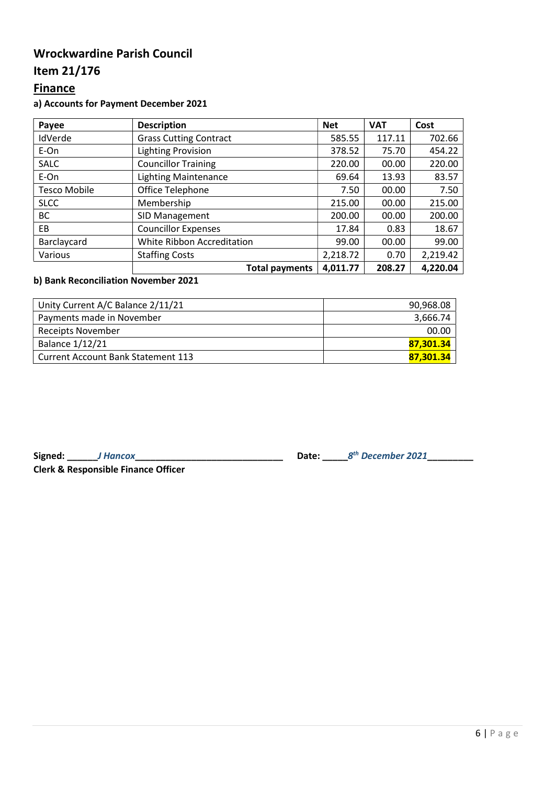## Wrockwardine Parish Council

## Item 21/176

## **Finance**

## a) Accounts for Payment December 2021

| Payee               | <b>Description</b>                | <b>Net</b> | <b>VAT</b> | Cost     |
|---------------------|-----------------------------------|------------|------------|----------|
| IdVerde             | <b>Grass Cutting Contract</b>     | 585.55     | 117.11     | 702.66   |
| E-On                | <b>Lighting Provision</b>         | 378.52     | 75.70      | 454.22   |
| <b>SALC</b>         | <b>Councillor Training</b>        | 220.00     | 00.00      | 220.00   |
| E-On                | <b>Lighting Maintenance</b>       | 69.64      | 13.93      | 83.57    |
| <b>Tesco Mobile</b> | Office Telephone                  | 7.50       | 00.00      | 7.50     |
| <b>SLCC</b>         | Membership                        | 215.00     | 00.00      | 215.00   |
| BC                  | SID Management                    | 200.00     | 00.00      | 200.00   |
| EB                  | <b>Councillor Expenses</b>        | 17.84      | 0.83       | 18.67    |
| Barclaycard         | <b>White Ribbon Accreditation</b> | 99.00      | 00.00      | 99.00    |
| Various             | <b>Staffing Costs</b>             | 2,218.72   | 0.70       | 2,219.42 |
|                     | <b>Total payments</b>             | 4,011.77   | 208.27     | 4,220.04 |

## b) Bank Reconciliation November 2021

| Unity Current A/C Balance 2/11/21         | 90,968.08 |
|-------------------------------------------|-----------|
| Payments made in November                 | 3,666.74  |
| Receipts November                         | 00.00     |
| <b>Balance 1/12/21</b>                    | 87.301.34 |
| <b>Current Account Bank Statement 113</b> | 87.301.34 |

Signed: \_\_\_\_\_\_J Hancox\_\_\_\_\_\_\_\_\_\_\_\_\_\_\_\_\_\_\_\_\_\_\_\_\_\_\_\_\_ Date: \_\_\_\_\_8

Clerk & Responsible Finance Officer

th December 2021\_\_\_\_\_\_\_\_\_